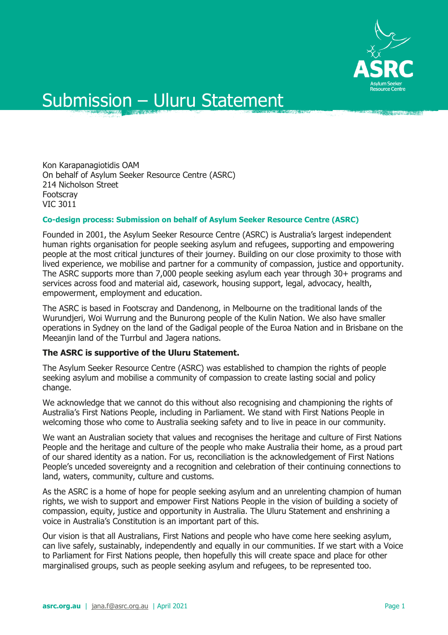

## Submission – Uluru Statement

Kon Karapanagiotidis OAM On behalf of Asylum Seeker Resource Centre (ASRC) 214 Nicholson Street Footscray VIC 3011

## **Co-design process: Submission on behalf of Asylum Seeker Resource Centre (ASRC)**

Founded in 2001, the Asylum Seeker Resource Centre (ASRC) is Australia's largest independent human rights organisation for people seeking asylum and refugees, supporting and empowering people at the most critical junctures of their journey. Building on our close proximity to those with lived experience, we mobilise and partner for a community of compassion, justice and opportunity. The ASRC supports more than 7,000 people seeking asylum each year through 30+ programs and services across food and material aid, casework, housing support, legal, advocacy, health, empowerment, employment and education.

The ASRC is based in Footscray and Dandenong, in Melbourne on the traditional lands of the Wurundjeri, Woi Wurrung and the Bunurong people of the Kulin Nation. We also have smaller operations in Sydney on the land of the Gadigal people of the Euroa Nation and in Brisbane on the Meeanjin land of the Turrbul and Jagera nations.

## **The ASRC is supportive of the Uluru Statement.**

The Asylum Seeker Resource Centre (ASRC) was established to champion the rights of people seeking asylum and mobilise a community of compassion to create lasting social and policy change.

We acknowledge that we cannot do this without also recognising and championing the rights of Australia's First Nations People, including in Parliament. We stand with First Nations People in welcoming those who come to Australia seeking safety and to live in peace in our community.

We want an Australian society that values and recognises the heritage and culture of First Nations People and the heritage and culture of the people who make Australia their home, as a proud part of our shared identity as a nation. For us, reconciliation is the acknowledgement of First Nations People's unceded sovereignty and a recognition and celebration of their continuing connections to land, waters, community, culture and customs.

As the ASRC is a home of hope for people seeking asylum and an unrelenting champion of human rights, we wish to support and empower First Nations People in the vision of building a society of compassion, equity, justice and opportunity in Australia. The Uluru Statement and enshrining a voice in Australia's Constitution is an important part of this.

Our vision is that all Australians, First Nations and people who have come here seeking asylum, can live safely, sustainably, independently and equally in our communities. If we start with a Voice to Parliament for First Nations people, then hopefully this will create space and place for other marginalised groups, such as people seeking asylum and refugees, to be represented too.